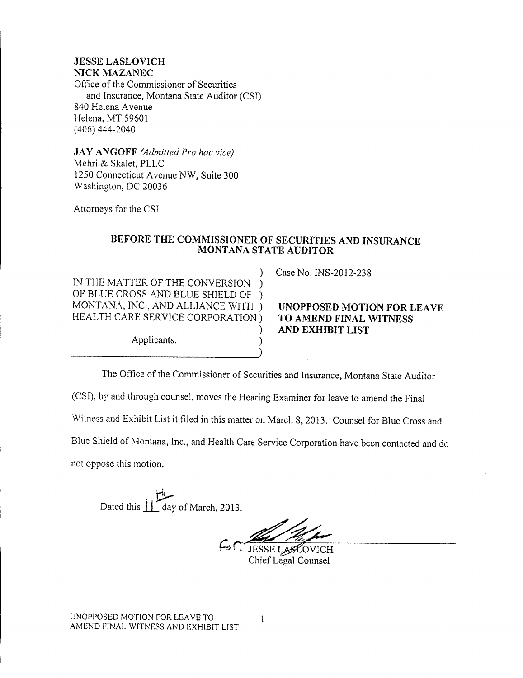**.JESSE LASLOVICH NICK MAZANEC** Office of the Commissioner of Securities and Insurance, Montana State Auditor (CST) 840 Helena Avenue Helena, MT 59601 (406) 444-2040

**.JAY ANGOFF** *(Admitted Pro hac vice)* Mchri & Skalet, PLLC 1250 Connecticut Avenue NW, Suite 300 Washington, DC 20036

Attorneys for the CSI

## **BEFORE THE COMMISSIONER OF SECURITIES AND INSURANCE MONTANA STATE AUDITOR**

) IN THE MATTER OF THE CONVERSION ) OF BLUE CROSS AND BLUE SHIELD OF ) MONTANA, INC., AND ALLIANCE WITH ) HEALTH CARE SERVICE CORPORATION)

Applicants.

Case No. INS-2012-238

## **UNOPPOSED MOTION FOR LEAVE TO AMEND FINAL WITNESS AND EXHIBIT LIST**

The Office of the Commissioner of Securities and Insurance, Montana State Auditor (CSI), by and through counsel, moves the Hearing Examiner for leave to amend the Final Witness and Exhibit List it filed in this matter on March 8, 2013. Counsel for Blue Cross and Blue Shield of Montana, Inc., and Health Care Service Corporation have been contacted and do not oppose this motion.

)

)

Dated this  $\prod_{\text{day of March, }2013.}$ 

 $\sim$  JESSE LASLOVICH Chief Legal Counsel

UNOPPOSED MOTION FOR LEA VE TO AMEND FINAL WITNESS AND EXHIBIT LIST

 $\mathbf{1}$